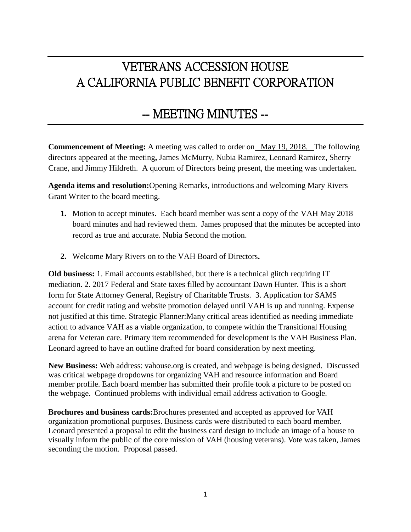## VETERANS ACCESSION HOUSE A CALIFORNIA PUBLIC BENEFIT CORPORATION

## -- MEETING MINUTES --

**Commencement of Meeting:** A meeting was called to order on May 19, 2018. The following directors appeared at the meeting**,** James McMurry, Nubia Ramirez, Leonard Ramirez, Sherry Crane, and Jimmy Hildreth. A quorum of Directors being present, the meeting was undertaken.

**Agenda items and resolution:**Opening Remarks, introductions and welcoming Mary Rivers – Grant Writer to the board meeting.

- **1.** Motion to accept minutes. Each board member was sent a copy of the VAH May 2018 board minutes and had reviewed them. James proposed that the minutes be accepted into record as true and accurate. Nubia Second the motion.
- **2.** Welcome Mary Rivers on to the VAH Board of Directors**.**

**Old business:** 1. Email accounts established, but there is a technical glitch requiring IT mediation. 2. 2017 Federal and State taxes filled by accountant Dawn Hunter. This is a short form for State Attorney General, Registry of Charitable Trusts. 3. Application for SAMS account for credit rating and website promotion delayed until VAH is up and running. Expense not justified at this time. Strategic Planner:Many critical areas identified as needing immediate action to advance VAH as a viable organization, to compete within the Transitional Housing arena for Veteran care. Primary item recommended for development is the VAH Business Plan. Leonard agreed to have an outline drafted for board consideration by next meeting.

**New Business:** Web address: vahouse.org is created, and webpage is being designed. Discussed was critical webpage dropdowns for organizing VAH and resource information and Board member profile. Each board member has submitted their profile took a picture to be posted on the webpage. Continued problems with individual email address activation to Google.

**Brochures and business cards:**Brochures presented and accepted as approved for VAH organization promotional purposes. Business cards were distributed to each board member. Leonard presented a proposal to edit the business card design to include an image of a house to visually inform the public of the core mission of VAH (housing veterans). Vote was taken, James seconding the motion. Proposal passed.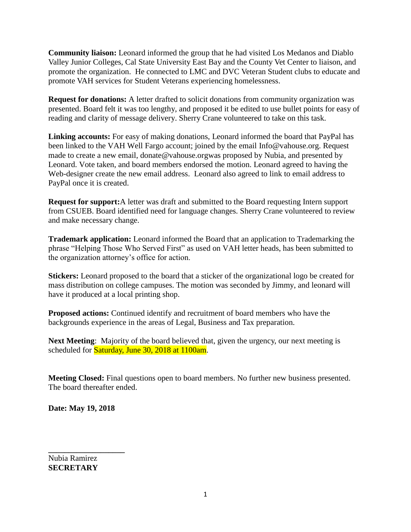**Community liaison:** Leonard informed the group that he had visited Los Medanos and Diablo Valley Junior Colleges, Cal State University East Bay and the County Vet Center to liaison, and promote the organization. He connected to LMC and DVC Veteran Student clubs to educate and promote VAH services for Student Veterans experiencing homelessness.

**Request for donations:** A letter drafted to solicit donations from community organization was presented. Board felt it was too lengthy, and proposed it be edited to use bullet points for easy of reading and clarity of message delivery. Sherry Crane volunteered to take on this task.

**Linking accounts:** For easy of making donations, Leonard informed the board that PayPal has been linked to the VAH Well Fargo account; joined by the email [Info@vahouse.org.](about:blank) Request made to create a new email, [donate@vahouse.orgw](about:blank)as proposed by Nubia, and presented by Leonard. Vote taken, and board members endorsed the motion. Leonard agreed to having the Web-designer create the new email address. Leonard also agreed to link to email address to PayPal once it is created.

**Request for support:**A letter was draft and submitted to the Board requesting Intern support from CSUEB. Board identified need for language changes. Sherry Crane volunteered to review and make necessary change.

**Trademark application:** Leonard informed the Board that an application to Trademarking the phrase "Helping Those Who Served First" as used on VAH letter heads, has been submitted to the organization attorney's office for action.

**Stickers:** Leonard proposed to the board that a sticker of the organizational logo be created for mass distribution on college campuses. The motion was seconded by Jimmy, and leonard will have it produced at a local printing shop.

**Proposed actions:** Continued identify and recruitment of board members who have the backgrounds experience in the areas of Legal, Business and Tax preparation.

**Next Meeting**: Majority of the board believed that, given the urgency, our next meeting is scheduled for **Saturday**, June 30, 2018 at 1100am.

**Meeting Closed:** Final questions open to board members. No further new business presented. The board thereafter ended.

**Date: May 19, 2018**

**\_\_\_\_\_\_\_\_\_\_\_\_\_\_\_\_\_\_\_**

Nubia Ramirez **SECRETARY**